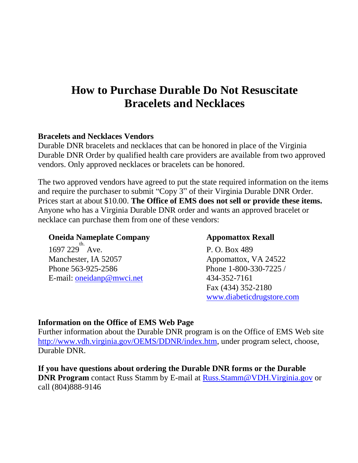# **How to Purchase Durable Do Not Resuscitate Bracelets and Necklaces**

### **Bracelets and Necklaces Vendors**

Durable DNR bracelets and necklaces that can be honored in place of the Virginia Durable DNR Order by qualified health care providers are available from two approved vendors. Only approved necklaces or bracelets can be honored.

The two approved vendors have agreed to put the state required information on the items and require the purchaser to submit "Copy 3" of their Virginia Durable DNR Order. Prices start at about \$10.00. **The Office of EMS does not sell or provide these items.** Anyone who has a Virginia Durable DNR order and wants an approved bracelet or necklace can purchase them from one of these vendors:

## **Oneida Nameplate Company** *Appomattox Rexall*

1697 229<sup>th.</sup> Manchester, IA 52057 Appomattox, VA 24522 Phone 563-925-2586 Phone 1-800-330-7225 / E-mail: [oneidanp@mwci.net](mailto:oneidanp@mwci.net) 434-352-7161

P. O. Box 489 Fax (434) 352-2180 [www.diabeticdrugstore.com](http://www.diabeticdrugstore.com/)

#### **Information on the Office of EMS Web Page**

Further information about the Durable DNR program is on the Office of EMS Web site http://www.vdh.virginia.gov/OEMS/DDNR/index.htm, under program select, choose, Durable DNR.

**If you have questions about ordering the Durable DNR forms or the Durable DNR Program** contact Russ Stamm by E-mail at [Russ.Stamm@VDH.Virginia.gov](mailto:Russ.Stamm@VDH.Virginia.gov) or call (804)888-9146